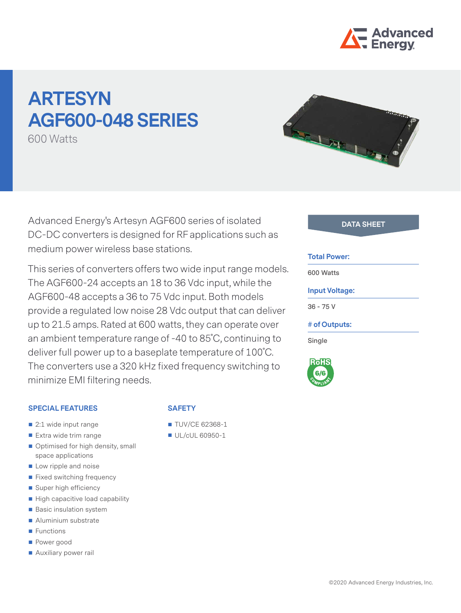

# **ARTESYN AGF600-048 SERIES**

600 Watts

Advanced Energy's Artesyn AGF600 series of isolated **DATA SHEET** DC-DC converters is designed for RF applications such as medium power wireless base stations.

This series of converters offers two wide input range models. The AGF600-24 accepts an 18 to 36 Vdc input, while the AGF600-48 accepts a 36 to 75 Vdc input. Both models provide a regulated low noise 28 Vdc output that can deliver up to 21.5 amps. Rated at 600 watts, they can operate over an ambient temperature range of -40 to 85˚C, continuing to deliver full power up to a baseplate temperature of 100˚C. The converters use a 320 kHz fixed frequency switching to minimize EMI filtering needs.

#### **SPECIAL FEATURES**

- 2:1 wide input range
- Extra wide trim range
- Optimised for high density, small space applications
- Low ripple and noise
- **Fixed switching frequency**
- Super high efficiency
- $\blacksquare$  High capacitive load capability
- **Basic insulation system**
- Aluminium substrate
- **Functions**
- Power good
- **Auxiliary power rail**

#### **SAFETY**

- **TUV/CE 62368-1**
- UL/cUL 60950-1

#### **Total Power:**

**600 Watts**

## **Input Voltage:**

**36 - 75 V**

#### **# of Outputs:**

**Single**

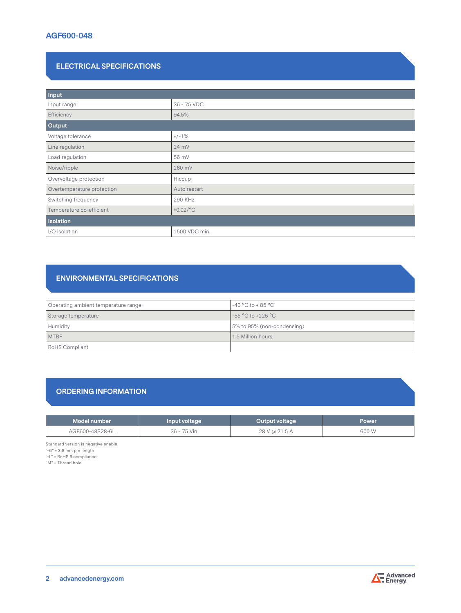# **ELECTRICAL SPECIFICATIONS**

| Input                      |                |  |  |
|----------------------------|----------------|--|--|
| Input range                | 36 - 75 VDC    |  |  |
| Efficiency                 | 94.5%          |  |  |
| Output                     |                |  |  |
| Voltage tolerance          | $+/-1%$        |  |  |
| Line regulation            | 14 mV          |  |  |
| Load regulation            | 56 mV          |  |  |
| Noise/ripple               | 160 mV         |  |  |
| Overvoltage protection     | Hiccup         |  |  |
| Overtemperature protection | Auto restart   |  |  |
| Switching frequency        | 290 KHz        |  |  |
| Temperature co-efficient   | $\pm 0.02$ /°C |  |  |
| Isolation                  |                |  |  |
| I/O isolation              | 1500 VDC min.  |  |  |

# **ENVIRONMENTAL SPECIFICATIONS**

| Operating ambient temperature range | $-40 °C$ to + 85 $°C$      |
|-------------------------------------|----------------------------|
| Storage temperature                 | -55 °C to +125 °C          |
| Humidity                            | 5% to 95% (non-condensing) |
| <b>MTBF</b>                         | 1.5 Million hours          |
| RoHS Compliant                      |                            |

# **ORDERING INFORMATION**

| Model number    | Input voltage | Output voltage | <b>Power</b> |
|-----------------|---------------|----------------|--------------|
| AGF600-48S28-6L | 36 - 75 Vin   | 28 V @ 21.5 A  | 600 W        |

Standard version is negative enable

"-6" = 3.8 mm pin length

"-L" = RoHS 6 compliance

 $M'' =$ Thread hole



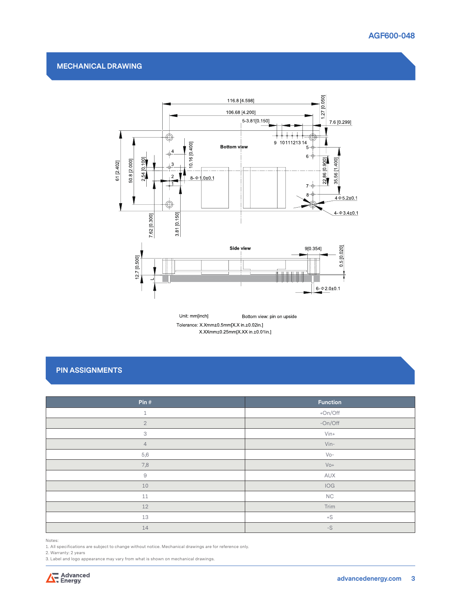### **MECHANICAL DRAWING**



Unit: mm[inch] Bottom view: pin on upside Tolerance: X.Xmm±0.5mm[X.X in ±0.02in.] X.XXmm±0.25mm[X.XX in ±0.01in.]

# **PIN ASSIGNMENTS**

| Pin#           | <b>Function</b> |
|----------------|-----------------|
| $\mathbf{1}$   | +On/Off         |
| $\overline{2}$ | $-On/Off$       |
| 3              | $V$ in+         |
| $\overline{4}$ | $V$ in-         |
| 5,6            | $V_0-$          |
| 7,8            | $VO+$           |
| $\Theta$       | AUX             |
| 10             | IOG             |
| 11             | <b>NC</b>       |
| 12             | Trim            |
| 13             | $+S$            |
| 14             | $-S$            |

Notes:

1. All specifications are subject to change without notice. Mechanical drawings are for reference only.

2. Warranty: 2 years

3. Label and logo appearance may vary from what is shown on mechanical drawings.